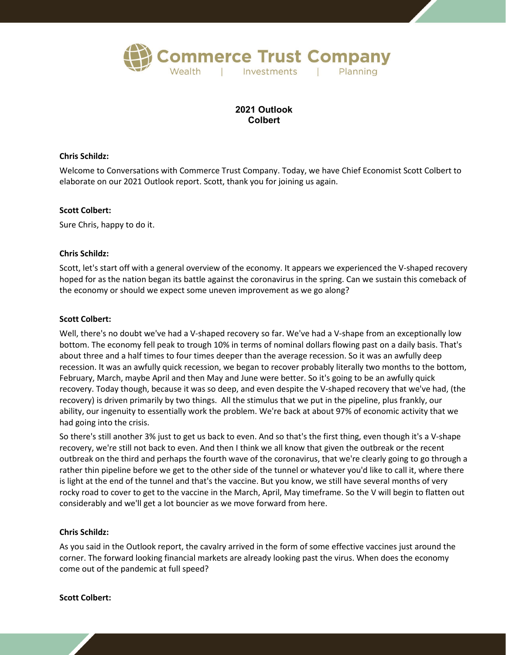

# **2021 Outlook Colbert**

### **Chris Schildz:**

Welcome to Conversations with Commerce Trust Company. Today, we have Chief Economist Scott Colbert to elaborate on our 2021 Outlook report. Scott, thank you for joining us again.

#### **Scott Colbert:**

Sure Chris, happy to do it.

#### **Chris Schildz:**

Scott, let's start off with a general overview of the economy. It appears we experienced the V-shaped recovery hoped for as the nation began its battle against the coronavirus in the spring. Can we sustain this comeback of the economy or should we expect some uneven improvement as we go along?

#### **Scott Colbert:**

Well, there's no doubt we've had a V-shaped recovery so far. We've had a V-shape from an exceptionally low bottom. The economy fell peak to trough 10% in terms of nominal dollars flowing past on a daily basis. That's about three and a half times to four times deeper than the average recession. So it was an awfully deep recession. It was an awfully quick recession, we began to recover probably literally two months to the bottom, February, March, maybe April and then May and June were better. So it's going to be an awfully quick recovery. Today though, because it was so deep, and even despite the V-shaped recovery that we've had, (the recovery) is driven primarily by two things. All the stimulus that we put in the pipeline, plus frankly, our ability, our ingenuity to essentially work the problem. We're back at about 97% of economic activity that we had going into the crisis.

So there's still another 3% just to get us back to even. And so that's the first thing, even though it's a V-shape recovery, we're still not back to even. And then I think we all know that given the outbreak or the recent outbreak on the third and perhaps the fourth wave of the coronavirus, that we're clearly going to go through a rather thin pipeline before we get to the other side of the tunnel or whatever you'd like to call it, where there is light at the end of the tunnel and that's the vaccine. But you know, we still have several months of very rocky road to cover to get to the vaccine in the March, April, May timeframe. So the V will begin to flatten out considerably and we'll get a lot bouncier as we move forward from here.

## **Chris Schildz:**

As you said in the Outlook report, the cavalry arrived in the form of some effective vaccines just around the corner. The forward looking financial markets are already looking past the virus. When does the economy come out of the pandemic at full speed?

#### **Scott Colbert:**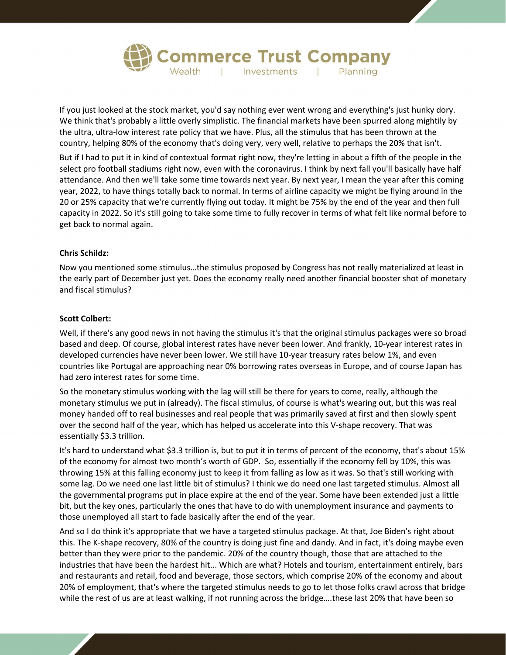

If you just looked at the stock market, you'd say nothing ever went wrong and everything's just hunky dory. We think that's probably a little overly simplistic. The financial markets have been spurred along mightily by the ultra, ultra-low interest rate policy that we have. Plus, all the stimulus that has been thrown at the country, helping 80% of the economy that's doing very, very well, relative to perhaps the 20% that isn't.

But if I had to put it in kind of contextual format right now, they're letting in about a fifth of the people in the select pro football stadiums right now, even with the coronavirus. I think by next fall you'll basically have half attendance. And then we'll take some time towards next year. By next year, I mean the year after this coming year, 2022, to have things totally back to normal. In terms of airline capacity we might be flying around in the 20 or 25% capacity that we're currently flying out today. It might be 75% by the end of the year and then full capacity in 2022. So it's still going to take some time to fully recover in terms of what felt like normal before to get back to normal again.

# **Chris Schildz:**

Now you mentioned some stimulus…the stimulus proposed by Congress has not really materialized at least in the early part of December just yet. Does the economy really need another financial booster shot of monetary and fiscal stimulus?

## **Scott Colbert:**

Well, if there's any good news in not having the stimulus it's that the original stimulus packages were so broad based and deep. Of course, global interest rates have never been lower. And frankly, 10-year interest rates in developed currencies have never been lower. We still have 10-year treasury rates below 1%, and even countries like Portugal are approaching near 0% borrowing rates overseas in Europe, and of course Japan has had zero interest rates for some time.

So the monetary stimulus working with the lag will still be there for years to come, really, although the monetary stimulus we put in (already). The fiscal stimulus, of course is what's wearing out, but this was real money handed off to real businesses and real people that was primarily saved at first and then slowly spent over the second half of the year, which has helped us accelerate into this V-shape recovery. That was essentially \$3.3 trillion.

It's hard to understand what \$3.3 trillion is, but to put it in terms of percent of the economy, that's about 15% of the economy for almost two month's worth of GDP. So, essentially if the economy fell by 10%, this was throwing 15% at this falling economy just to keep it from falling as low as it was. So that's still working with some lag. Do we need one last little bit of stimulus? I think we do need one last targeted stimulus. Almost all the governmental programs put in place expire at the end of the year. Some have been extended just a little bit, but the key ones, particularly the ones that have to do with unemployment insurance and payments to those unemployed all start to fade basically after the end of the year.

And so I do think it's appropriate that we have a targeted stimulus package. At that, Joe Biden's right about this. The K-shape recovery, 80% of the country is doing just fine and dandy. And in fact, it's doing maybe even better than they were prior to the pandemic. 20% of the country though, those that are attached to the industries that have been the hardest hit... Which are what? Hotels and tourism, entertainment entirely, bars and restaurants and retail, food and beverage, those sectors, which comprise 20% of the economy and about 20% of employment, that's where the targeted stimulus needs to go to let those folks crawl across that bridge while the rest of us are at least walking, if not running across the bridge….these last 20% that have been so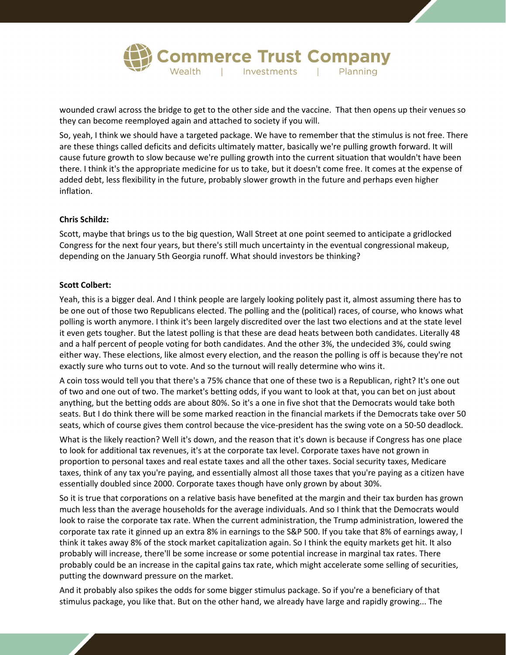

wounded crawl across the bridge to get to the other side and the vaccine. That then opens up their venues so they can become reemployed again and attached to society if you will.

So, yeah, I think we should have a targeted package. We have to remember that the stimulus is not free. There are these things called deficits and deficits ultimately matter, basically we're pulling growth forward. It will cause future growth to slow because we're pulling growth into the current situation that wouldn't have been there. I think it's the appropriate medicine for us to take, but it doesn't come free. It comes at the expense of added debt, less flexibility in the future, probably slower growth in the future and perhaps even higher inflation.

#### **Chris Schildz:**

Scott, maybe that brings us to the big question, Wall Street at one point seemed to anticipate a gridlocked Congress for the next four years, but there's still much uncertainty in the eventual congressional makeup, depending on the January 5th Georgia runoff. What should investors be thinking?

#### **Scott Colbert:**

Yeah, this is a bigger deal. And I think people are largely looking politely past it, almost assuming there has to be one out of those two Republicans elected. The polling and the (political) races, of course, who knows what polling is worth anymore. I think it's been largely discredited over the last two elections and at the state level it even gets tougher. But the latest polling is that these are dead heats between both candidates. Literally 48 and a half percent of people voting for both candidates. And the other 3%, the undecided 3%, could swing either way. These elections, like almost every election, and the reason the polling is off is because they're not exactly sure who turns out to vote. And so the turnout will really determine who wins it.

A coin toss would tell you that there's a 75% chance that one of these two is a Republican, right? It's one out of two and one out of two. The market's betting odds, if you want to look at that, you can bet on just about anything, but the betting odds are about 80%. So it's a one in five shot that the Democrats would take both seats. But I do think there will be some marked reaction in the financial markets if the Democrats take over 50 seats, which of course gives them control because the vice-president has the swing vote on a 50-50 deadlock.

What is the likely reaction? Well it's down, and the reason that it's down is because if Congress has one place to look for additional tax revenues, it's at the corporate tax level. Corporate taxes have not grown in proportion to personal taxes and real estate taxes and all the other taxes. Social security taxes, Medicare taxes, think of any tax you're paying, and essentially almost all those taxes that you're paying as a citizen have essentially doubled since 2000. Corporate taxes though have only grown by about 30%.

So it is true that corporations on a relative basis have benefited at the margin and their tax burden has grown much less than the average households for the average individuals. And so I think that the Democrats would look to raise the corporate tax rate. When the current administration, the Trump administration, lowered the corporate tax rate it ginned up an extra 8% in earnings to the S&P 500. If you take that 8% of earnings away, I think it takes away 8% of the stock market capitalization again. So I think the equity markets get hit. It also probably will increase, there'll be some increase or some potential increase in marginal tax rates. There probably could be an increase in the capital gains tax rate, which might accelerate some selling of securities, putting the downward pressure on the market.

And it probably also spikes the odds for some bigger stimulus package. So if you're a beneficiary of that stimulus package, you like that. But on the other hand, we already have large and rapidly growing... The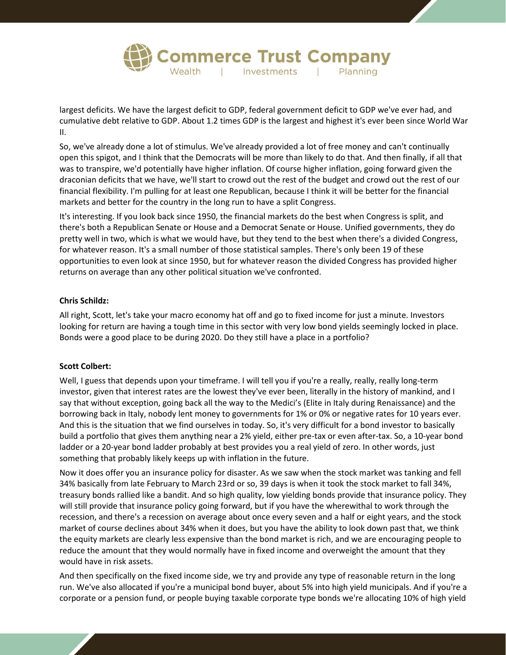

largest deficits. We have the largest deficit to GDP, federal government deficit to GDP we've ever had, and cumulative debt relative to GDP. About 1.2 times GDP is the largest and highest it's ever been since World War II.

So, we've already done a lot of stimulus. We've already provided a lot of free money and can't continually open this spigot, and I think that the Democrats will be more than likely to do that. And then finally, if all that was to transpire, we'd potentially have higher inflation. Of course higher inflation, going forward given the draconian deficits that we have, we'll start to crowd out the rest of the budget and crowd out the rest of our financial flexibility. I'm pulling for at least one Republican, because I think it will be better for the financial markets and better for the country in the long run to have a split Congress.

It's interesting. If you look back since 1950, the financial markets do the best when Congress is split, and there's both a Republican Senate or House and a Democrat Senate or House. Unified governments, they do pretty well in two, which is what we would have, but they tend to the best when there's a divided Congress, for whatever reason. It's a small number of those statistical samples. There's only been 19 of these opportunities to even look at since 1950, but for whatever reason the divided Congress has provided higher returns on average than any other political situation we've confronted.

## **Chris Schildz:**

All right, Scott, let's take your macro economy hat off and go to fixed income for just a minute. Investors looking for return are having a tough time in this sector with very low bond yields seemingly locked in place. Bonds were a good place to be during 2020. Do they still have a place in a portfolio?

## **Scott Colbert:**

Well, I guess that depends upon your timeframe. I will tell you if you're a really, really, really long-term investor, given that interest rates are the lowest they've ever been, literally in the history of mankind, and I say that without exception, going back all the way to the Medici's (Elite in Italy during Renaissance) and the borrowing back in Italy, nobody lent money to governments for 1% or 0% or negative rates for 10 years ever. And this is the situation that we find ourselves in today. So, it's very difficult for a bond investor to basically build a portfolio that gives them anything near a 2% yield, either pre-tax or even after-tax. So, a 10-year bond ladder or a 20-year bond ladder probably at best provides you a real yield of zero. In other words, just something that probably likely keeps up with inflation in the future.

Now it does offer you an insurance policy for disaster. As we saw when the stock market was tanking and fell 34% basically from late February to March 23rd or so, 39 days is when it took the stock market to fall 34%, treasury bonds rallied like a bandit. And so high quality, low yielding bonds provide that insurance policy. They will still provide that insurance policy going forward, but if you have the wherewithal to work through the recession, and there's a recession on average about once every seven and a half or eight years, and the stock market of course declines about 34% when it does, but you have the ability to look down past that, we think the equity markets are clearly less expensive than the bond market is rich, and we are encouraging people to reduce the amount that they would normally have in fixed income and overweight the amount that they would have in risk assets.

And then specifically on the fixed income side, we try and provide any type of reasonable return in the long run. We've also allocated if you're a municipal bond buyer, about 5% into high yield municipals. And if you're a corporate or a pension fund, or people buying taxable corporate type bonds we're allocating 10% of high yield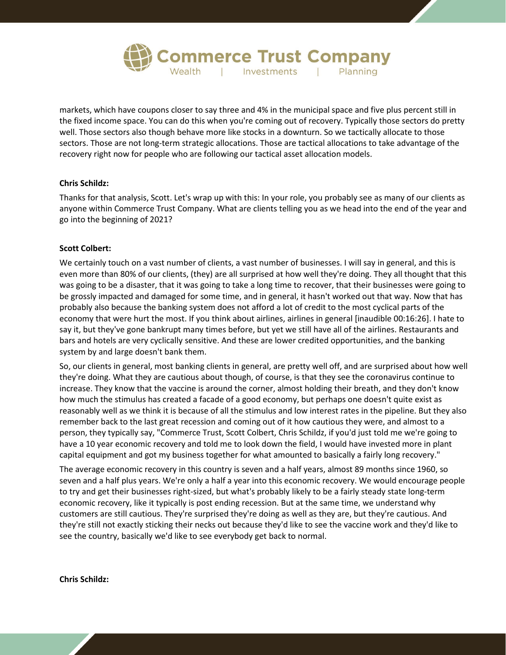

markets, which have coupons closer to say three and 4% in the municipal space and five plus percent still in the fixed income space. You can do this when you're coming out of recovery. Typically those sectors do pretty well. Those sectors also though behave more like stocks in a downturn. So we tactically allocate to those sectors. Those are not long-term strategic allocations. Those are tactical allocations to take advantage of the recovery right now for people who are following our tactical asset allocation models.

## **Chris Schildz:**

Thanks for that analysis, Scott. Let's wrap up with this: In your role, you probably see as many of our clients as anyone within Commerce Trust Company. What are clients telling you as we head into the end of the year and go into the beginning of 2021?

# **Scott Colbert:**

We certainly touch on a vast number of clients, a vast number of businesses. I will say in general, and this is even more than 80% of our clients, (they) are all surprised at how well they're doing. They all thought that this was going to be a disaster, that it was going to take a long time to recover, that their businesses were going to be grossly impacted and damaged for some time, and in general, it hasn't worked out that way. Now that has probably also because the banking system does not afford a lot of credit to the most cyclical parts of the economy that were hurt the most. If you think about airlines, airlines in general [inaudible 00:16:26]. I hate to say it, but they've gone bankrupt many times before, but yet we still have all of the airlines. Restaurants and bars and hotels are very cyclically sensitive. And these are lower credited opportunities, and the banking system by and large doesn't bank them.

So, our clients in general, most banking clients in general, are pretty well off, and are surprised about how well they're doing. What they are cautious about though, of course, is that they see the coronavirus continue to increase. They know that the vaccine is around the corner, almost holding their breath, and they don't know how much the stimulus has created a facade of a good economy, but perhaps one doesn't quite exist as reasonably well as we think it is because of all the stimulus and low interest rates in the pipeline. But they also remember back to the last great recession and coming out of it how cautious they were, and almost to a person, they typically say, "Commerce Trust, Scott Colbert, Chris Schildz, if you'd just told me we're going to have a 10 year economic recovery and told me to look down the field, I would have invested more in plant capital equipment and got my business together for what amounted to basically a fairly long recovery."

The average economic recovery in this country is seven and a half years, almost 89 months since 1960, so seven and a half plus years. We're only a half a year into this economic recovery. We would encourage people to try and get their businesses right-sized, but what's probably likely to be a fairly steady state long-term economic recovery, like it typically is post ending recession. But at the same time, we understand why customers are still cautious. They're surprised they're doing as well as they are, but they're cautious. And they're still not exactly sticking their necks out because they'd like to see the vaccine work and they'd like to see the country, basically we'd like to see everybody get back to normal.

**Chris Schildz:**